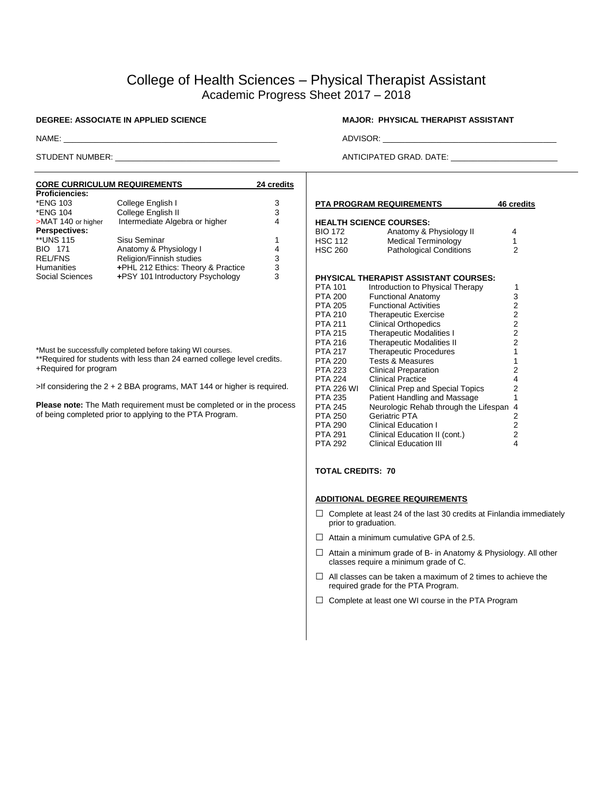# College of Health Sciences – Physical Therapist Assistant Academic Progress Sheet 2017 – 2018

| <b>CORE CURRICULUM REQUIREMENTS</b> | 24 credits                         |   |
|-------------------------------------|------------------------------------|---|
| <b>Proficiencies:</b>               |                                    |   |
| *ENG 103                            | College English I                  | 3 |
| *ENG 104                            | College English II                 | 3 |
| >MAT 140 or higher                  | Intermediate Algebra or higher     | 4 |
| <b>Perspectives:</b>                |                                    |   |
| **UNS 115                           | Sisu Seminar                       | 1 |
| <b>BIO 171</b>                      | Anatomy & Physiology I             | 4 |
| <b>REL/FNS</b>                      | Religion/Finnish studies           | 3 |
| <b>Humanities</b>                   | +PHL 212 Ethics: Theory & Practice | 3 |
| Social Sciences                     | +PSY 101 Introductory Psychology   | 3 |

\*Must be successfully completed before taking WI courses.

\*\*Required for students with less than 24 earned college level credits. +Required for program

>If considering the 2 + 2 BBA programs, MAT 144 or higher is required.

**Please note:** The Math requirement must be completed or in the process of being completed prior to applying to the PTA Program.

## **DEGREE: ASSOCIATE IN APPLIED SCIENCE MATE: MAJOR: PHYSICAL THERAPIST ASSISTANT**

NAME: \_\_\_\_\_\_\_\_\_\_\_\_\_\_\_\_\_\_\_\_\_\_\_\_\_\_\_\_\_\_\_\_\_\_\_\_\_\_\_\_\_\_\_\_\_\_\_\_ ADVISOR: \_\_\_\_\_\_\_\_\_\_\_\_\_\_\_\_\_\_\_\_\_\_\_\_\_\_\_\_\_\_\_\_\_\_\_\_\_\_\_

STUDENT NUMBER: \_\_\_\_\_\_\_\_\_\_\_\_\_\_\_\_\_\_\_\_\_\_\_\_\_\_\_\_\_\_\_\_\_\_\_\_\_ ANTICIPATED GRAD. DATE: \_\_\_\_\_\_\_\_\_\_\_\_\_\_\_\_\_\_\_\_\_\_\_\_

|                | PTA PROGRAM REQUIREMENTS                | 46 credits     |
|----------------|-----------------------------------------|----------------|
|                | <b>HEALTH SCIENCE COURSES:</b>          |                |
| BIO 172        | Anatomy & Physiology II                 | 4              |
| HSC 112        | <b>Medical Terminology</b>              | 1              |
| <b>HSC 260</b> | <b>Pathological Conditions</b>          | 2              |
|                |                                         |                |
|                | PHYSICAL THERAPIST ASSISTANT COURSES:   |                |
| PTA 101        | Introduction to Physical Therapy        | 1              |
| PTA 200        | <b>Functional Anatomy</b>               | 3              |
| PTA 205        | <b>Functional Activities</b>            | 2              |
| PTA 210        | <b>Therapeutic Exercise</b>             | $\overline{c}$ |
| PTA 211        | <b>Clinical Orthopedics</b>             | 2              |
| PTA 215        | <b>Therapeutic Modalities I</b>         | 2              |
| PTA 216        | <b>Therapeutic Modalities II</b>        | $\overline{2}$ |
| PTA 217        | <b>Therapeutic Procedures</b>           | 1              |
| PTA 220        | <b>Tests &amp; Measures</b>             | 1              |
| PTA 223        | <b>Clinical Preparation</b>             | 2              |
| PTA 224        | <b>Clinical Practice</b>                | 4              |
| PTA 226 WI     | <b>Clinical Prep and Special Topics</b> | 2              |
| PTA 235        | Patient Handling and Massage            | 1              |
| PTA 245        | Neurologic Rehab through the Lifespan   | 4              |
| PTA 250        | Geriatric PTA                           | 2              |
| PTA 290        | <b>Clinical Education I</b>             | $\overline{2}$ |

## **TOTAL CREDITS: 70**

### **ADDITIONAL DEGREE REQUIREMENTS**

- $\Box$  Complete at least 24 of the last 30 credits at Finlandia immediately prior to graduation.
- $\Box$  Attain a minimum cumulative GPA of 2.5.
- $\Box$  Attain a minimum grade of B- in Anatomy & Physiology. All other classes require a minimum grade of C.
- $\Box$  All classes can be taken a maximum of 2 times to achieve the required grade for the PTA Program.
- □ Complete at least one WI course in the PTA Program

PTA 291 Clinical Education II (cont.) 2 PTA 292 Clinical Education III 4